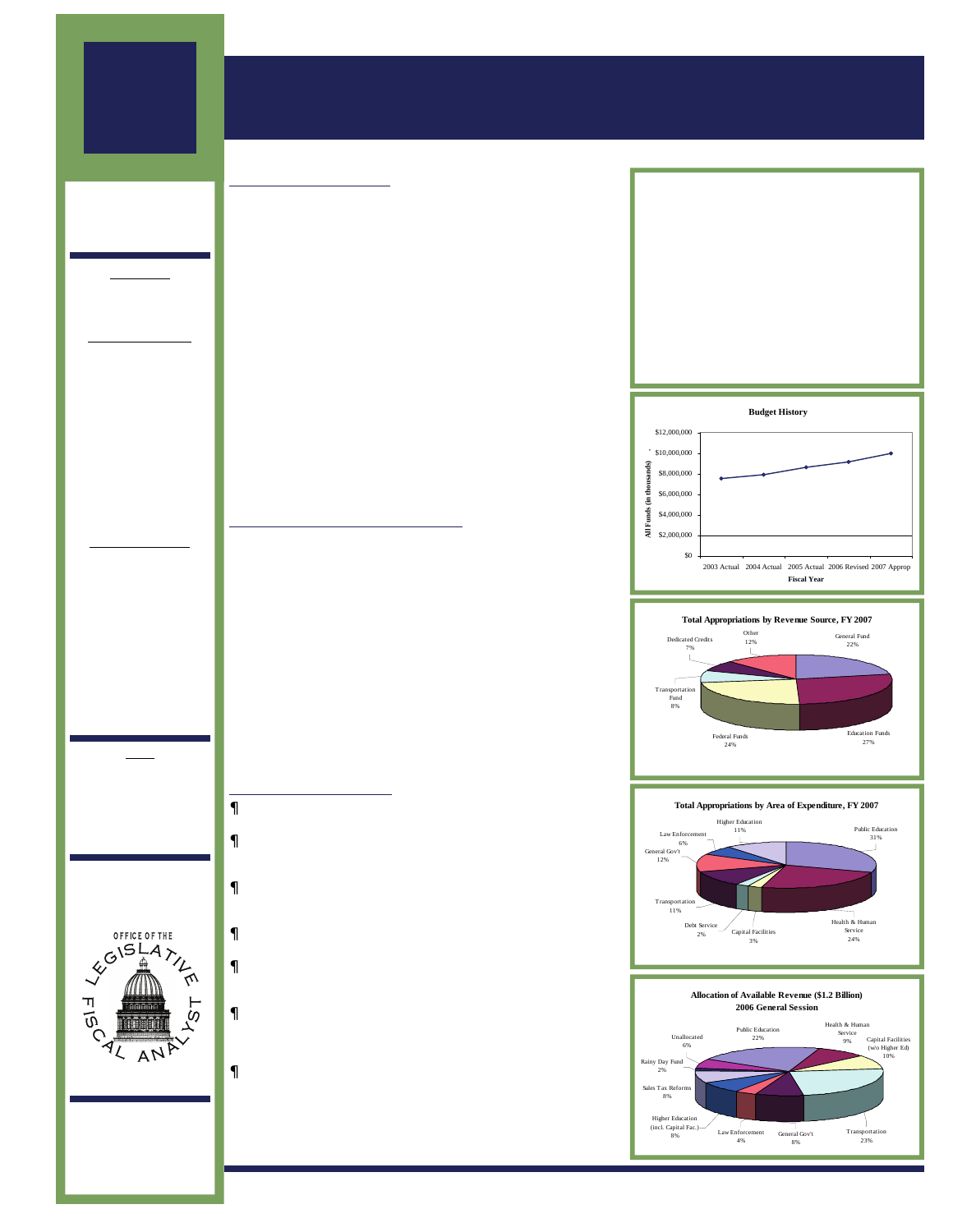## 2006 GENERAL **SESSION**

## State Budget Overview

### APPROPRIATION SUMMARY & BUDGET HIGHLIGHTS

### **BUDGET SUMMARY**

**EXECUTIVE** APPROPRIATIONS **COMMITTEE** 

### Co-Chairs

Sen. Lyle Hillyard Rep. Ron Bigelow

### Senate Members

Curtis Bramble, Vice-Chair

John Valentine, President

Gene Davis Mike Dmitrich Dan Eastman Beverly Evans Karen Hale Peter Knudson Ed Mayne

### House Members

David Clark, Vice-Chair

Greg Curtis, Speaker

Jeff Alexander Ralph Becker Ben Ferry Patricia Jones Brad King Rosalind McGee Stephen Urquhart

### Staff

John Massey, Legislative Fiscal Analyst

Michael Kjar, Deputy Director



W310 State Capitol Complex Salt Lake City, Utah 84114 ———————- 801-538-1034 801-538-1692 Fax www.le.utah.gov

Lawmakers entered the 2006 General Session facing difficult decisions presented by more than \$1 billion in projected tax revenue growth for fiscal years 2006 and 2007. From the start, Legislators clearly prioritized tax cuts, education, social services and infrastructure. \$98 million worth of growth in public education, Medicaid rolls, and building maintenance needs were the first additions to base budgets. On top of that, appropriators added more than \$240 million for public education, \$25 million for Higher Education, and \$43 million for health and human services. Capital investments fared well with \$193 million going toward new buildings and nearly \$300 million toward roads.

In addition to research and development initiatives like the Utah Science, Technology and Research (USTAR) initiative - which received \$65 million in funding - lawmakers stimulated the state economy with numerous tax cuts including reducing sales tax on food, removing the cap on water district share of sales tax revenue, and offering a number of tax incentives to businesses and manufacturers.

Finally, Legislators deposited \$25 million into the state's general rainy day fund. This brings the state's reserves back to prerecession levels.

### EMPLOYEE COMPENSATION

The Legislature appropriated a 3.5% cost of living allowance for state and higher education employees. Included in this allowance is an adjustment in health insurance benefits equivalent to a 0.5% cost of living allowance. Judges, elected officials, and state executives were provided a 3% cost of living adjustment with 0.5% of that adjustment coming from changes in health insurance benefits. In addition, increases in health insurance premiums, retirement rates, and post employment termination pools totaling nearly \$39.6 million were included in the compensation package. Finally, the Legislature provided market comparability adjustments for certain classifications within the Department of Corrections and the Utah Highway Patrol.

State funding for the compensation of teachers and other public education employees was part of a 6% increase in the weighted pupil unit (WPU). These funds will be allocated to school districts who in turn will negotiate with employees for their final compensation packages.

### REVENUE IMPACTS

- Sales and Use Tax Food and Food Ingredients (HB 109) Allows for a 2 percent reduction in sales tax on food.
- Property Tax Circuit Breaker Qualifying Limits (HB 55) provides for a shift in brackets and increases in credits allowed under circuit breaker.
- Sales and Use Tax Exemption Telecommunications (SB 29) Provides a sales tax exemption for the Telecommunications Industry.
- Sales and Use Tax Manufacturing and Industry Exemptions Amendments (SB 31) Expands the Manufacturing Exemption.
- Gross Receipts Tax Amendments, Repeal and Public Utility Tariffs (SB 34) Provides a reduction in the Gross Receipts Tax paid by certain industries.
- Amendments to Sales and Use Tax Exemptions for Certain Vehicles, Boats, Boat Trailers, and Outboard Motors (SB 179) provides a sales tax exemption for certain purchase within the state for out of state use.
- Sales Tax Diversion for Water Projects and Water Financing (HB 47) - requires that certain state sales and use tax revenues be transferred to the Water Resources Conservation and Development Fund and used by the Division of Water Resources for preconstruction costs for certain water projects. Also, transfers funds to the Division of Water Rights for hiring staff.

| <b>FYO5 Actual</b>             | \$8,620,179,688 |      |
|--------------------------------|-----------------|------|
| State Funds                    | 3.987.916.261   |      |
| <b>FYO6 Revised</b>            | \$9,141,664,617 |      |
| State Funds                    | 4.249.064.715   |      |
| <b>FY07 Appropriated</b>       | \$9,971,508,975 |      |
| State Funds                    | 4.942.541645    |      |
|                                |                 |      |
| % Change FY05/06               |                 | 6.0  |
| State Fund Increase/(Decrease) |                 | 65   |
| % Change FY06/FY07             |                 | 9.1  |
| State Fund Increase/(Decrease) |                 | 16.3 |







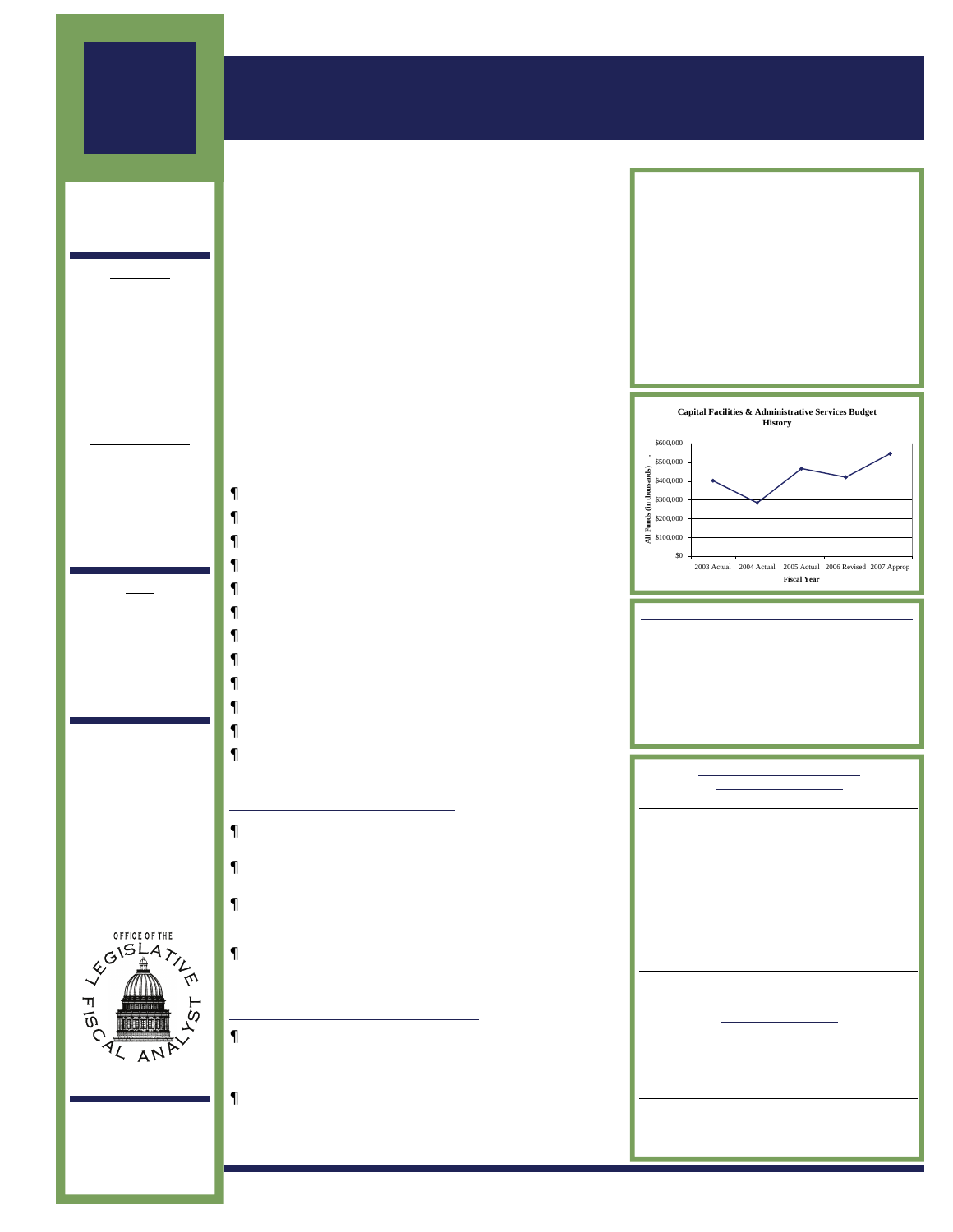## 2006 GENERAL **SESSION**

**MEMBERS** OF THE JOINT APPROPRIATIONS **SUBCOMMITTEE** 

### Co-Chairs

Sen. Bill Hickman Rep. Gregg Buxton

### Senate Members

John Valentine, President

Mike Dmitrich Peter Knudson

### House Members

Roger Barrus Ralph Becker DeMar Bowman Stephen Clark Janice Fisher Wayne Harper Fred Hunsaker Michael Morley

### **Staff**

Steven Allred, Fiscal Analyst

Jonathan Ball, Fiscal Analyst

Todd Wardrop, Fiscal Analyst



W310 State Capitol Complex Salt Lake City, Utah 84114 ———————- 801-538-1034 801-538-1692 Fax

www.le.utah.gov

## Capital Facilities & Administrative Services

### APPROPRIATION SUMMARY & BUDGET HIGHLIGHTS

### **BUDGET SUMMARY**

The subcommittee oversees the Capitol Preservation Board, Career Service Review Board, Department of Administrative Services, Department of Technology Services, Department of Human Resource Management, Capital Budget, and Debt Service. Operating budgets account for only 7% of the total state fund appropriation. Approximately 72% of the FY07 state fund appropriation will be used for capital facilities, 19% will be used for debt service, and 2% will be used to upgrade the state's tax computer system.

The subcommittee also approves budgets for statewide internal service funds. Internal service funds provide consolidated services to all agencies, higher education and some local governments. Revenues in the amount of \$240 million are anticipated to be collected by the internal service funds in FY07.

### **MAJOR FUNDING INITIATIVES**

Authorized state funded capital projects will be financed with cash, including \$30 million in ongoing state funds. Legislative action provided the following increases:

- •State Funded Buildings \$196,662,000
- •Rainy Day Fund \$25,000,000
- •Tax System Modernization \$10,000,000
- •Capital Improvements (existing facilities) \$6,759,700
- •DFCM Administration (replaces project funds) \$1,092,000
- •O&M for New Buildings \$1,674,900
- •LeRay McAllister Critical Land Conservation \$1,000,000
- •Capitol Building Wireless Technology \$590,000
- •S.B. 57, Rural Telehealth Network \$500,000
- •High Definition Aerial Imagery \$500,000
- •Local Government Mapping \$400,000
- •Capitol Preservation Board (replaces project funds) \$100,000

### FUNDING REALLOCATIONS

- •Capital Development Line Item \$13,200,000 returned to the General Fund to help finance other state needs.
- •Debt Service \$5,502,000 savings from reduced bonding reallocated to the Capital Development line item.
- •Risk Management \$2,500,000 in excess retained earnings reallocated to the Capital Improvements line item to mitigate life/safety hazards in existing buildings.
- Contingency Reserve Fund \$1,500,000 reallocated to the Project Reserve Fund to help cover construction inflation.

### BUDGET POLICY INITIATIVES

•H.B. 269 Human Resource Management Amendments - returns the agency to a department of state government rather than a division within DAS, and creates an internal service fund to provide field services to other agencies.

•S.B. 75 USTAR Initiative - includes \$110,000,000 in bond authorization and \$50,000,000 General Funds for construction of research institutions at the University of Utah and Utah State University.

| . <del>.</del>                 | 3700,000,700 |               |
|--------------------------------|--------------|---------------|
| State Funds                    |              | 264.087.600   |
| <b>FY06 Revised</b>            |              | \$420,421,500 |
| State Funds                    |              | 219,849,200   |
| <b>FY07 Appropriated</b>       |              | \$547,577,600 |
| State Funds                    |              | 359.574.300   |
|                                |              |               |
| % Change FY05/06               |              | (9.9)         |
| State Fund Increase/(Decrease) |              | (16.8)        |
| % Change FY06/FY07             |              | 30.2          |
| State Fund Increase/(Decrease) |              | 63.6          |

FY05 Actual \$466,535,900



### FY 07 BUDGET BY MAJOR AREA

| Capitol Preservation Board     | \$2,884,400   |
|--------------------------------|---------------|
| Career Service Review Board    | \$217,800     |
| <b>Administrative Services</b> | \$23,398,100  |
| <b>Technology Services</b>     | \$19,799,900  |
| Human Resource Mgt             | \$3,899,300   |
| Capital Budget                 | \$260,783,300 |
| Debt Service                   | \$236,594,800 |

### CAPITAL PROJECTS S TATE - F UNDED

| Capital Improvements                | \$62,921,300  |
|-------------------------------------|---------------|
| State Capitol (Stage Three)         | \$50,000,000  |
| <b>UVSC Digital Learning Center</b> | \$46,750,000  |
| <b>UBATC/USU Vernal Bldg</b>        | \$9,942.000   |
| DNR Midway Fish Hatchery            | \$5,000,000   |
| <b>CUCF North Side Expansion</b>    | \$20,000,000  |
| Courts St. George Property          | \$3,620,000   |
| USU Ag Campus Relocation            | \$5,000,000   |
| MATC N. Utah Co. Land               | \$3,250,000   |
| WSU Classrm/Chiller PInt Design     | \$2,000,000   |
| CEU Energy Training Ctr             | \$1,100,000   |
| USTAR Buildings (S.B.75)*           | \$50,000,000  |
| <b>Total State Funded</b>           | \$196,662,000 |

#### CAPITAL PROJECTS **OTHER FUNDS**

| <b>DABC Revenue Bonds</b>        | \$7,371,000   |
|----------------------------------|---------------|
| <b>Bd. Regents Revenue Bonds</b> | \$49,275,000  |
| Donated Funds                    | \$102,110,000 |
| <b>Federal Funds</b>             | \$1,177,000   |
| <b>Transportation Funds</b>      | \$1,200,000   |
| <b>Total Other Funded</b>        | \$161.133.000 |

\*Plus \$110,000,000 General Obligation Bond Authorization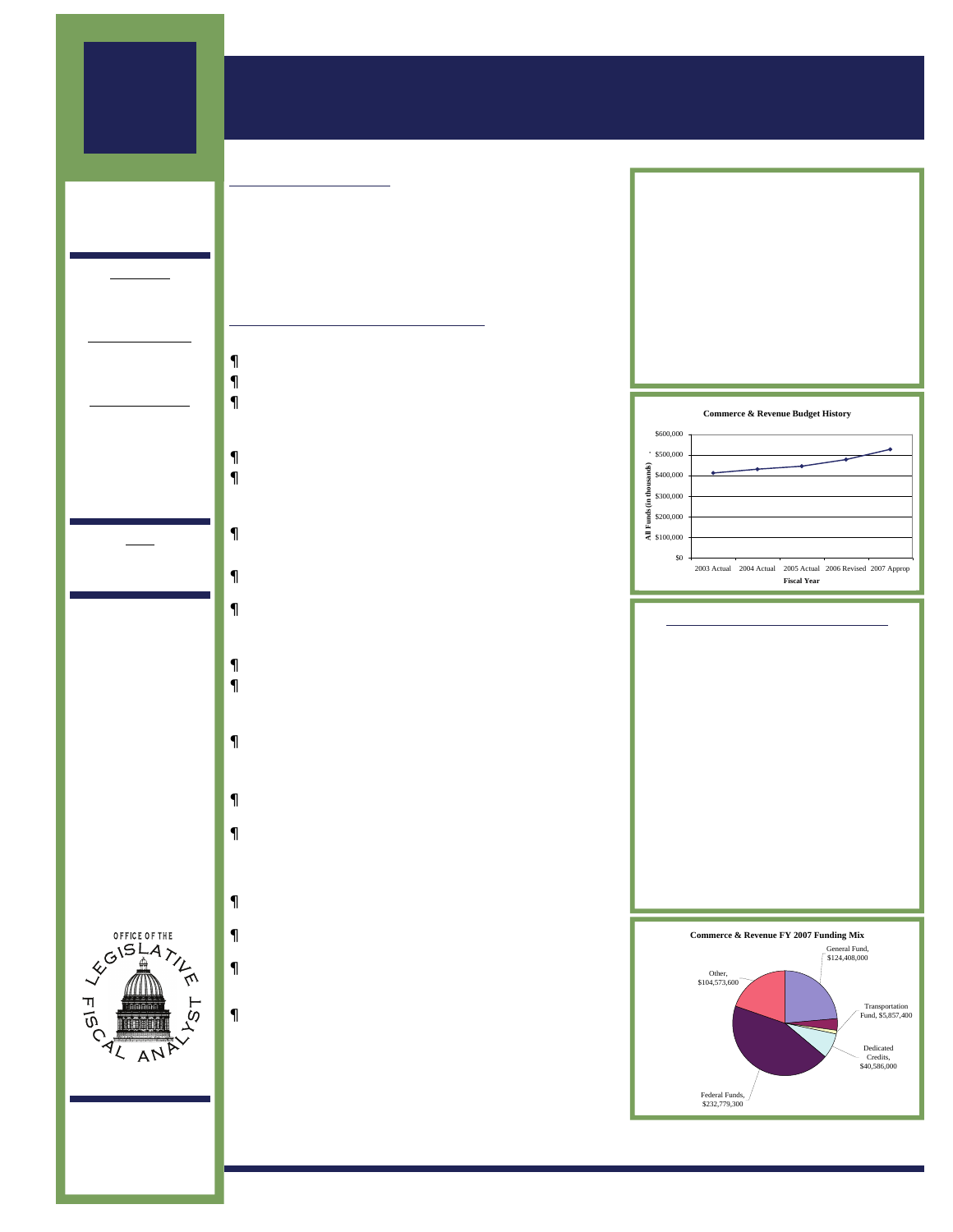## 2006 GENERAL **SESSION**

**MEMBERS** OF THE JOINT APPROPRIATIONS **SUBCOMMITTEE** 

### Co-Chairs

Sen. Mark Madsen Rep. Peggy Wallace

### Senate Members

Curtis Bramble Ed Mayne

### House Members

Jim Dunnigan Craig Frank Lorie Fowlke Ross Romero Mark Wheatley Richard Wheeler

### **Staff**

Stan Eckersley, Fiscal Analyst

## **OFFICE OF THE** AN JOHN E. MASSEY DIRECTOR

W310 State Capitol Complex Salt Lake City, Utah 84114 ———————- 801-538-1034 801-538-1692 Fax www.le.utah.gov

Commerce & Revenue

### APPROPRIATION SUMMARY & BUDGET HIGHLIGHTS

### **BUDGET SUMMARY**

The eight department budgets overseen by the Commerce and Revenue subcommittee make up the most diverse portfolio of any appropriations subcommittee: Alcoholic Beverage Control, Commerce, Financial Institutions, Insurance, Labor Commission, Public Service Commission, Tax Commission and Workforce Services. In addition to the amounts shown in the summary, about \$270,000,000 will be spent "off-budget" in Unemployment Insurance and Food Stamp Payments.

### **MAJOR FUNDING INITIATIVES**

### Alcoholic Beverage Control - \$2,669,800

- Bond Payments \$812,400
- Staffing \$226,100, provides 7 FTE to handle growth
- $S.B. 58 $1,631,300$ , to implement S.B. 58 "Eliminating Alcohol Sales to Youth"

### Commerce - \$333,500

- Staffing \$233,500, provides 3 FTE to handle growth
- Filing System \$100,000, to rebuild the Uniform Commercial Code online filing system

### Financial Institutions - \$524,000

• Staffing - \$524,000, provides 5 FTE to handle growth

### Insurance - \$5,125,800

- HIPUtah \$4,796,100, provides ongoing and one-time (\$1,000,000) funding for Comprehensive Health Insurance.
- Staffing \$329,700, provides 3 FTE financial examiners and 2 FTE market conduct analysts

### Labor Commission - \$885,600

- Safety \$309,600, to increase Workplace Safety
- Restorations \$576,000, to undo previous federal and state budget reductions

### Tax Commission - \$7,150,000

- Software System \$7,000,000, in one-time revenue to start the replacement of core software systems. Preliminary estimates indicate that the total project will take three years to complete and a total of \$30 million.
- Leases \$150,000, to provide office leases in St. George and Richfield
- $\bullet$  H B 109 s 3 the Commission will administer \$6,000,000 to implement the Sales and Use Tax - Food and Food Ingredients.

### Workforce Services - \$13,232,600

- General Assistance \$5,500,000 to provide additional General Assistance services
- eRep \$4,085,000, combined with \$6,135,900 in federal Medicaid matching funds to complete the eREP program
- Child Care \$2,702,400, combined with \$6,997,600 in additional federal fund draw-down to provide child care services
- Food Stamps \$945,200, to increase Food Stamp administration

| <b>FYO5 Actual</b>             | \$445,551,600 |               |
|--------------------------------|---------------|---------------|
| State Funds                    |               | 125, 102, 200 |
| <b>FY06 Revised</b>            | \$477,696,300 |               |
| State Funds                    |               | 126.481.100   |
| FY07 Appropriated              | \$527,467,900 |               |
| State Funds                    |               | 143.671.600   |
|                                |               |               |
| % Change FY05/06               |               | 7.2           |
| State Fund Increase/(Decrease) |               | 1.1           |
| % Change FY06/FY07             |               | 10.4          |
| State Fund Increase/(Decrease) |               | 13.6          |



### FY 2007 BUDGET BY MAJOR AREA

| Alcoholic Beverage Control    | \$24,600,000  |
|-------------------------------|---------------|
| Commerce                      | \$24,565,200  |
| <b>Financial Institutions</b> | \$5,788,900   |
| Insurance                     | \$48,192,600  |
| Labor Commission              | \$10,904,200  |
| Public Service Commission     | \$12,816,200  |
| <b>Tax Commission</b>         | \$73,995,000  |
| <b>Workforce Services</b>     | \$320,646,000 |

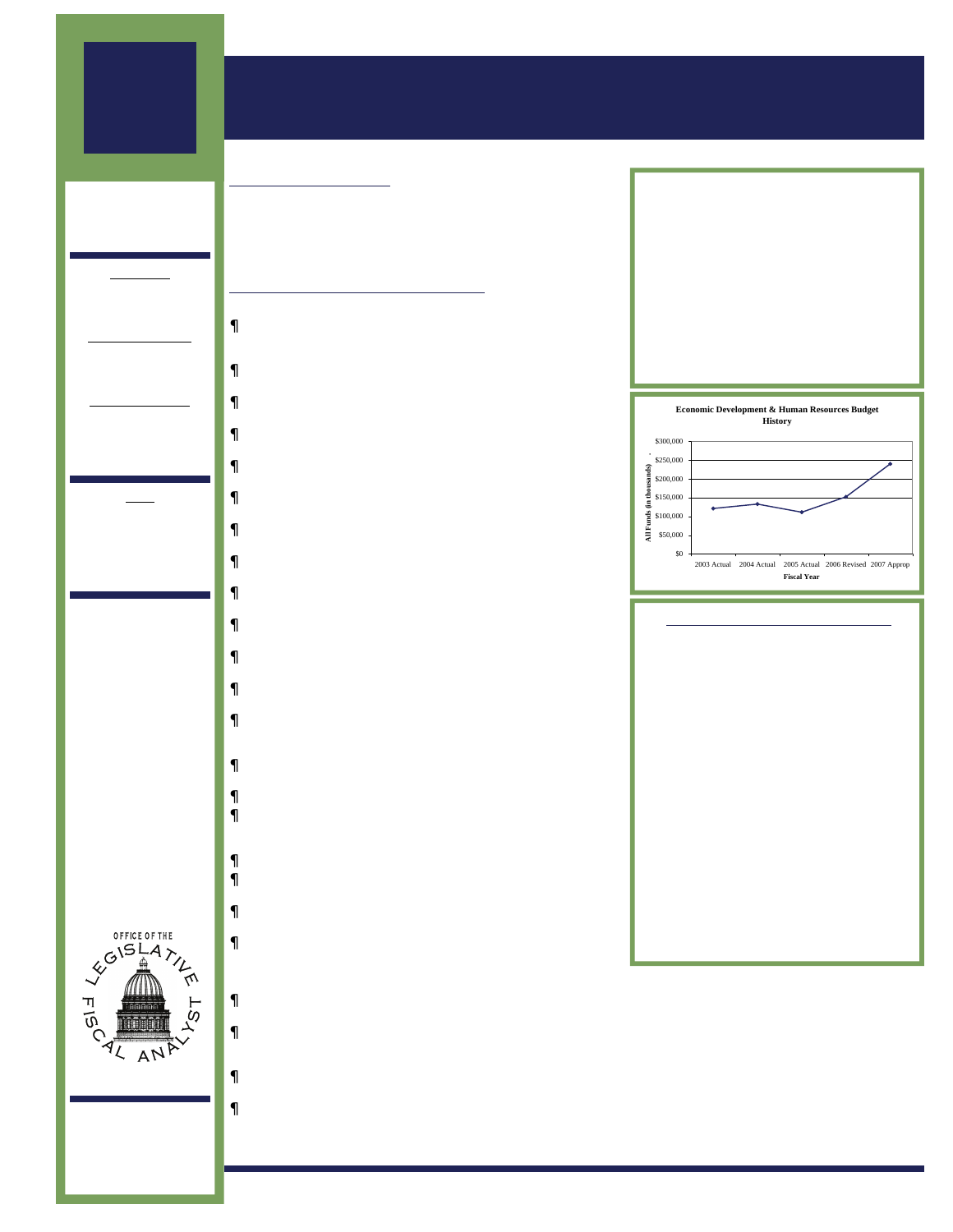## 2006 GENERAL **SESSION**

**MEMBERS** OF THE JOINT APPROPRIATIONS **SUBCOMMITTEE** 

### Co-Chairs

Sen. Al Mansell Rep. Craig Buttars

### Senate Members

Dan Eastman Scott McCoy

### House Members

Jeff Alexander Jackie Biskupski Brad Dee Patrick Painter

### **Staff**

Dr. Andrea Wilko, Chief Economist

Juliette Tennert Fiscal Analyst

## Economic Development APPROPRIATION SUMMARY & BUDGET HIGHLIGHTS

### **BUDGET SUMMARY**

The Committee oversees the budgets for the Department of Community and Culture and the Governor's Office of Economic Development. They also oversee funding for the USTAR Initiative. Total State funding allocated to the committee in FY 2007 was \$61,568,100.

### **MAJOR FUNDING INITIATIVES**

- Legislative action provided for the following funding increases:
- •Pamela Atkinson Homeless Trust Fund \$500,000 one-time for the Homeless Committee to support local homeless service providers.
- •Olene Walker Housing Loan Fund \$1,000,000 one-time for the expansion of affordable housing.
- •Weatherization \$500,000 one-time to help with weatherization projects that will save energy costs in the long run.
- Sports Commission \$200,000 one-time to provide grants to eligible events.
- •Industrial Assistance Fund \$3,479,400 supplemental appropriation to replenish the Industrial Assistance Fund.
- •Emergency Food Network \$100,000 one-time to increase services statewide.
- •Children's Museum \$400,000 one-time to contribute to the building of the Children's Museum.
- •Treehouse Museum \$400,000 one-time to contribute to the relocation of the Treehouse Museum in Ogden.
- •Eccles Ice Center \$250,000 one-time to contribute to the endowment fund of the Eccles Ice Center.
- •Davis County Conference Center \$500,000 one-time to help with the expansion of the Davis County Conference Center.
- •Individual Development Accounts \$50,000 ongoing to provide individual development account opportunities.
- •Museum Grants \$250,000 one-time to fund museum grants statewide.
- •Motion Picture Incentive Fund \$500,000 one-time and \$500,000 ongoing for an incentive program to bring film production into the state.
- •Utah Summer Games \$25,000 one-time added to the \$50,000 base funding for the Utah Summer Games.
- •Moab Music Festival \$50,000 one-time
- •Economic Development Zone Rebates \$1,528,000 one-time to fund the rebate commitment related to the Economic Development Zone rebates.
- •Utah Golf Association \$5,000 one-time
- •Save America's Treasures \$75,000 state match for a federal heritage grant.
- •Hill Field/UBIDS \$250,000 one-time to GOED Administration for the Hill Field/UBIDS program.
- •SB 187 Science and Technology Education Program \$100,000 ongoing to create a Science and Technology Education Program in the Governor's Office of Economic Development.
- **•Business Development \$250,000 one-time for a business** development opportunity.
- •Centers of Excellence and Business Resource Centers \$500,000 ongoing for each program was provided to the Governor's Office of Economic Development.
- •USTAR \$19,250,000 ongoing funding was provided for the USTAR initiative.
- •Lease increase for the Department of Community and Culture and the Governor's Office of Economic Development - \$90,000 supplemental funding and \$180,000 ongoing funding for the contractual increase.

| <b>FYO5 Actual</b>             | \$111,189,700 |
|--------------------------------|---------------|
| State Funds                    | 44,336,900    |
| <b>FYO6 Revised</b>            | \$152,399,200 |
| State Funds                    | 56,734,700    |
| FY07 Appropriated              | \$240,218,200 |
| State Funds                    | 61.068.100    |
|                                |               |
| % Change FY05/06               | 37.1          |
| State Fund Increase/(Decrease) | 28.0          |
| % Change FY06/FY07             | 58.0          |
| State Fund Increase/(Decrease) | 8.5           |



### FUNDING REALLOCATIONS

The Office of Museum Services and the Division of Fine Arts were combined into the Division of Arts and Museums. The Governor's Office of Economic Development line items were restructured to more closely align with their administration of the existing programs.

The Economic Development Subcommittee reallocated \$656,000 in remaining easement balances on a one-time basis to the following programs: \$200,000 Library Development Grants, \$100,000 for Art Restoration, \$50,000 for History Grants, \$20,000 to the Italians in Utah Project, \$95,500 for Museum Grants, \$95,500 for Art Grants, \$50,000 for Repatriation, and \$45,000 for Business Resource Center equipment purchases.

Ongoing funding of \$350,000 from remaining defense alliance allocations was reallocated as follows: \$150,000 Snow College Custom Fit Nursing Initiative, \$30,000 Emergency Food Network, \$100,000 Zoos, \$50,000 History Grants, and \$48,300 for the Pioneer Database.



**OFFICE OF THE** 

W310 State Capitol Complex Salt Lake City, Utah 84114 ———————- 801-538-1034 801-538-1692 Fax

www.le.utah.gov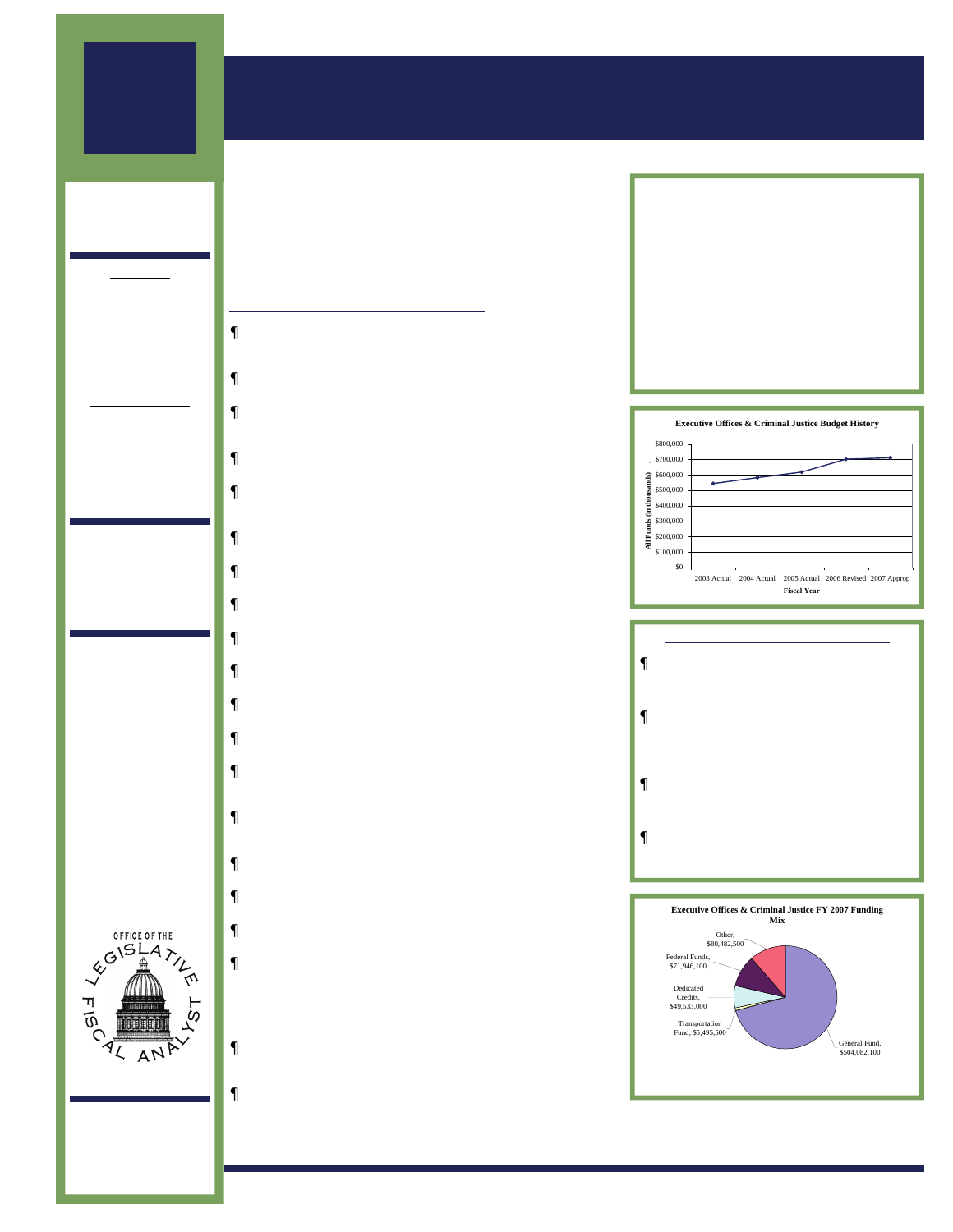## 2006 GENERAL **SESSION**

**MEMBERS** OF THE JOINT APPROPRIATIONS **SUBCOMMITTEE** 

### Co-Chairs

Sen. David Thomas Rep. David Hogue

### Senate Members

Brent Goodfellow Darin Peterson

### House Members

Douglas Aagard Eric Hutchings Brad King Curtis Oda Mark Walker Larry Wiley

### **Staff**

Gary Ricks, Fiscal Analyst

Derek Byrne, Fiscal Analyst



## APPROPRIATION SUMMARY & BUDGET HIGHLIGHTS

### B UDGET S UMMARY

The subcommittee oversees nine state agencies—the Governor's Office, State Auditor, State Treasurer, Attorney General, Public Safety, Corrections, Board of Pardons, Juvenile Justice Services, and the Courts. The agencies employ over 6,400 employees. Over 71 percent of the subcommittee's \$711.5 million budget comes from General Fund.

### **MAJOR FUNDING INITIATIVES**

- Central Utah Correctional Facility \$4,106,000 ongoing and \$172,900 one-time GF for operations and maintenance funding for a new 288-bed pod.
- Correctional Officer Salary Increase \$3,600,000 for a 5.5% salary increase for correctional officers.
- Replacement of Federal Funds FY06 one-time funding of \$833,100 and FY07 one-time funding of \$1,666,200 to maintain Division of Juvenile Justice Services at current level.
- Highway Patrol Overtime Funding \$800,000 ongoing GF and one-time \$1,300,000 GF for unexpected public emergencies.
- Contract and Lease Increases Funding for lease increases: \$66,200 in FY06 supplemental funding, \$168,100 ongoing GF for Public Safety; and \$441,300 in ongoing GF for the Courts.
- District Court Judge \$257,500 ongoing GF for judge and clerk support.
- Board of Pardons Staff Increase \$198,100 ongoing GF for 2 hearing officers and 1 support staff.
- Crime Lab \$150,000 in ongoing GF to fund equipment upgrades.
- Prosecution of Child Pornography \$850,000 ongoing and \$1,400,000 one-time GF to implement legislation (HB 170).
- Underage Drinking Prevention \$543,000 ongoing and \$1,600,000 one-time GF to implement legislation (SB 58).
- Highway Patrol Salary Increase \$1,100,000 to eliminate compression with employees in the Patrol.
- Highway Patrol Laptop Replacement One-time funding of \$400,000 to replace aging laptops.
- Litigation Settlement Costs \$1,526,100 one-time GF for Attorney General's Office for recent litigation and settlement expenses.
- Helicopter Engine Repair & Increased Service Coverage \$394,800 supplemental funding for the DPS Aero Bureau for engine repair and other expenses.
- Jail Reimbursement \$710,000 one-time GF to fund estimated bed-day growth between FY06 and FY07.
- Governor's Emergency Fund \$100,000 one-time GF to replenish the fund.
- Drug Offender Reform Act (DORA) \$251,000 to the Department of Corrections for the pilot program.
- Western States Primary \$850,000 one-time GF for state participation during the next presidential primary.

### BUDGET POLICY INITIATIVES

- Prison Population Management Funding of \$20 million was provided through Capital Facilities for 192 new beds at the Gunnison facility.
- Salary Increases In addition to the 3.5% COLA, Correctional Officers received \$3.6 million for a 5.5% salary increase and Highway Patrol Officers received \$1.1 million to address salary compression issues.

| <b>FY05 Actual</b>             | \$618,377,000 |             |
|--------------------------------|---------------|-------------|
| State Funds                    |               | 453,790,600 |
| <b>FY06 Revised</b>            | \$702,193,000 |             |
| State Funds                    |               | 461.765.900 |
| FY07 Appropriated              | \$711,539,200 |             |
| State Funds                    |               | 504.082.100 |
|                                |               |             |
| % Change FY05/06               |               | 13.5        |
| State Fund Increase/(Decrease) |               | 18          |
| % Change FY06/FY07             |               | 1.3         |
| State Fund Increase/(Decrease) |               | 9.2         |



### FUNDING REALLOCATIONS

- Shifted \$994,500 from Corrections Programs and Operations to Corrections Medical Services.
- Transferred Youth Parole Authority line item (\$298,400) as a program under the Division of Juvenile Justice Services Programs and Operations line item.
- Increased restricted fund spending allocations by \$545,000 in the Courts Administration line item.
- Transferred Election Office line item to become part of Governor's Office line item.





**OFFICE OF THE** 

W310 State Capitol Complex Salt Lake City, Utah 84114 ———————- 801-538-1034 801-538-1692 Fax

www.le.utah.gov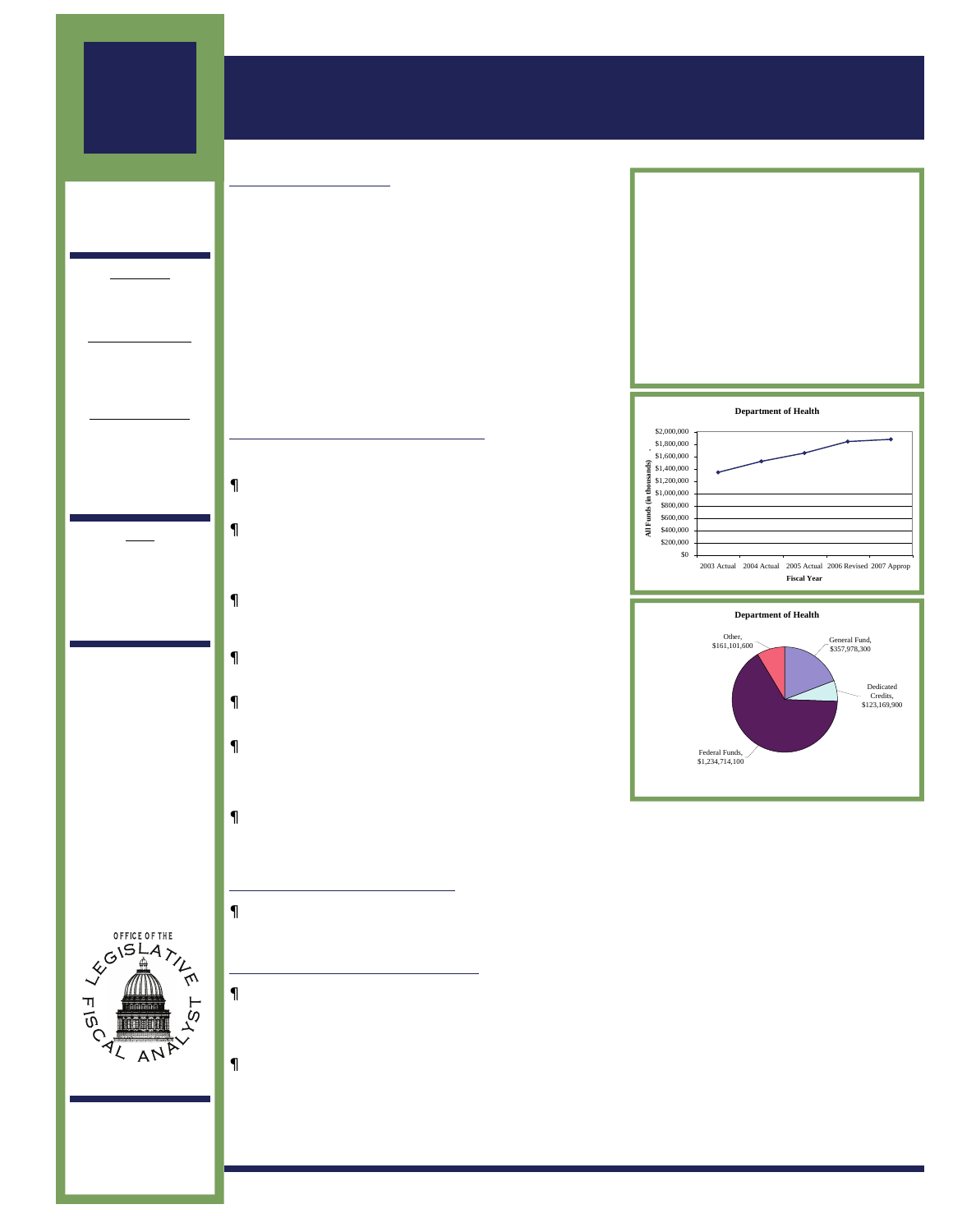2006 GENERAL **SESSION** 

## Health & Human Services Department of Health

### APPROPRIATION SUMMARY & BUDGET HIGHLIGHTS

### **BUDGET SUMMARY**

The mission of the Department of Health is to protect the public's health through preventing avoidable illness, injury, disability, and premature death; assuring access to affordable, quality health care; and promoting healthy lifestyles.

The Department administers the Medical Assistance Program (Medicaid) and the Children's Health Insurance Program (CHIP), both of which cover health and medical needs for specific populations who meet income criteria. Both are state-federal programs with the federal government providing the major portion of the funding. Medicaid is an entitlement program by federal law, which means that a person who is deemed eligible is entitled to the entire array of Medicaid services, which the State must fund. Historical data show significant and continual growth in the Medicaid program, which has been a driver for the entire department's budget. CHIP has been able to handle budget constraints with enrollment caps.

### **MAJOR FUNDING INITIATIVES**

Medicaid continues to be the driver for the Department's budget. The following items were approved:

- Federal Medical Assistance Percentage (FMAP) rate change required \$8,601,400 Federal Funds to be replaced with ongoing FY 2007 General Fund.
- Medicaid Utilization and Caseload Growth \$53,554,600 (\$14,000,000 General Fund) to partially fund the FY 2007 estimated growth of those eligible for Medicaid. \$28,712,100 (\$10,263,700 General Fund) to fund the FY 2006 estimated caseload growth and make federal repayments.
- Medicare Part D Implementation \$2,254,500 (\$1,100,000 General Fund) to partially fund the FY 2007 estimated caseload growth due to the new Medicare Part D. Funding of \$8,709,300 (\$4,249,300 General Fund) for FY 2006.
- Medicaid Inflation \$34,462,600 (\$10,252,700 General Fund) to increase FY 2007 reimbursement rates an average of 2.5 percent to selected providers of Medicaid services.
- Baby Watch/Early Intervention Program An increase of \$675,300 General Fund was allocated to address the caseload growth for services to disabled children 0-3 years old.
- Primary Care Grants The Legislature provided \$457,300 (\$100,000 ongoing) for Primary Care Grants. This program provides grant funding to public and non-profit entities that offer primary health care services to medically underserved populations.
- HIV/AIDS Drugs Lawmakers also approved one-time funding of \$180,000 to purchase drugs for individuals diagnosed with HIV or AIDS. This appropriation helps replace reduced federal funding.

### FUNDING REALLOCATIONS

• Unused FY 2006 funding of \$389,900 one-time General Fund was shifted from Medicaid Base Programs to fund the Medical Examiner shortfall and replacement laboratory equipment.

### BUDGET POLICY INITIATIVES

- HB 276 Medicaid Covered at Work Premium Subsidy funds \$890,000 (\$267,500 ongoing General Fund) to promote increased participation in employer sponsored health insurance as a means to increase health care coverage among the uninsured.
- HB 288 Health Care Amendments for Foster Care appropriates \$1,514,600 (\$450,000 one-time General Fund) to provide medical coverage to certain adolescents aging out of foster care.

| <b>FYO5 Actual</b>             | \$1,656,093,500 |      |
|--------------------------------|-----------------|------|
| State Funds                    | 287,990,800     |      |
| <b>FY06 Revised</b>            | \$1,841,224,600 |      |
| State Funds                    | 338,491,900     |      |
| <b>FY07 Appropriated</b>       | \$1,876,963,900 |      |
| State Funds                    | 357,978,300     |      |
|                                |                 |      |
| % Change FY05/06               |                 | 11.2 |
| State Fund Increase/(Decrease) |                 | 17.5 |
| % Change FY06/FY07             |                 | 1.9  |
| State Fund Increase/(Decrease) |                 | 5 R  |







W310 State Capitol Complex Salt Lake City, Utah 84114 ———————- 801-538-1034 801-538-1692 Fax

www.le.utah.gov

www.le.utah.gov NOTE: All figures represented in this summary are preliminary. Final appropriation figures, including gubernatorial vetoes, will be reflected in the 2006 - 2007 Appropriations Report.<br>the 2006 - 2007 Approp

### **MEMBERS** OF THE JOINT APPROPRIATIONS

### Co-Chairs

**SUBCOMMITTEE** 

Sen. Sheldon Killpack Rep. Merlynn Newbold

### Senate Members

Chris Buttars Allen Christensen Gene Davis

### House Members

Bradley Last David Litvack Stephen Mascaro .<br>Roz McGee Paul Ray Aaron Tilton

### Staff

Bill Greer, Fiscal Analyst - Health

> Debbie Headden, Fiscal Analyst - Human Services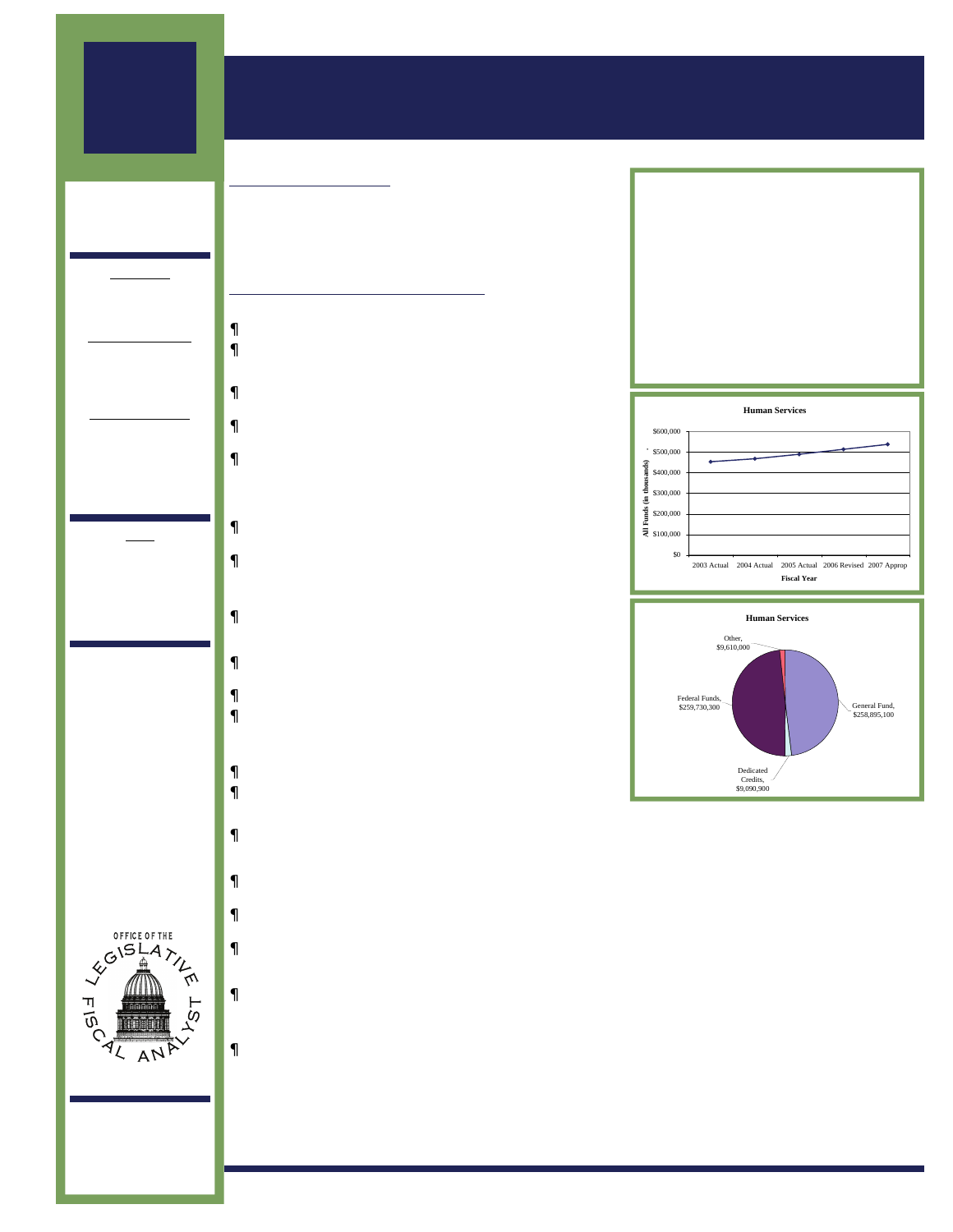2006 GENERAL **SESSION** 

## Health & Human Services Department of Human Services

### APPROPRIATION SUMMARY & BUDGET HIGHLIGHTS

### B UDGET S UMMARY

**MEMBERS** OF THE JOINT APPROPRIATIONS SUBCOMMITTEE

### Co-Chairs

Sen. Sheldon Killpack Rep. Merlynn Newbold

### Senate Members

Chris Buttars Allen Christensen Gene Davis

### House Members

Bradley Last David Litvack Stephen Mascaro Roz McGee Paul Ray Aaron Tilton

### Staff

Bill Greer, Fiscal Analyst - Health

> Debbie Headden, Fiscal Analyst - Human Services



### **MAJOR FUNDING INITIATIVES**

### Department of Human Services

- Private Provider COLAs \$2.1 million (2.5 percent)
- Federal Medical Assistance Rate Change \$1.7 million

### People with Disabilities

- Waiting Listing \$1.6 million to reduce the waiting list by about 285 people
- DSPD Services \$1 million for waiting list and waiver services
- Supported Employment \$150,000 to implement H.B. 31, "Pilot Program for the Provisions of Services for People with Disabilities" for supported employment

### Substance Abuse

- Drug Offenders Reform Act \$647,000 one-time General Funds
- Drug Courts \$500,000 in General Funds (\$435,000 for Human Services & \$65,000 for Courts)

#### Mental Health

- State Hospital \$1.55 million in General Funds for 30 adult beds for FY 2007 and a supplemental appropriation of \$358,700 in one-time General Funds for FY 2006
- Non-Medicaid Mental Health \$1 million one-time General Funds
- Children's Mental Health \$500,00 one-time General Funds
- Veterans Counseling \$210,000 one-time General Funds to implement H.B. 407 "Counseling for Families of Veterans"

### Aging and Adult Services

- Aging Meal Programs \$115,000 General Funds
- Aging Waivers \$300,000 one-time General Funds

#### Child and Family Services

- Caseload Growth \$1.5 million in General Funds for FY 2007 and a supplemental one-time General Fund appropriation of \$708,000 for FY 2006
- David C. Lawsuit one-time General Funds of \$269,500 for the court monitor
- Adoption Assistance \$500,000 in General Funds for monthly subsidies, medical assistance and legal fees
- Replacement of Loss of Federal Funds \$17.8 million in General Funds for FY 2007 and one-time General Funds for FY 2006 of \$9.5 million
- H.B. 21, "Child Welfare Revisions" General Funds of \$9,400 for additional training

### Executive Director

• Replacement of Loss of Federal Funds - \$1.4 million in General Funds for FY 2007 and one-time General Funds for FY 2006 of \$736,700









W310 State Capitol Complex Salt Lake City, Utah 84114 ———————- 801-538-1034 801-538-1692 Fax

www.le.utah.gov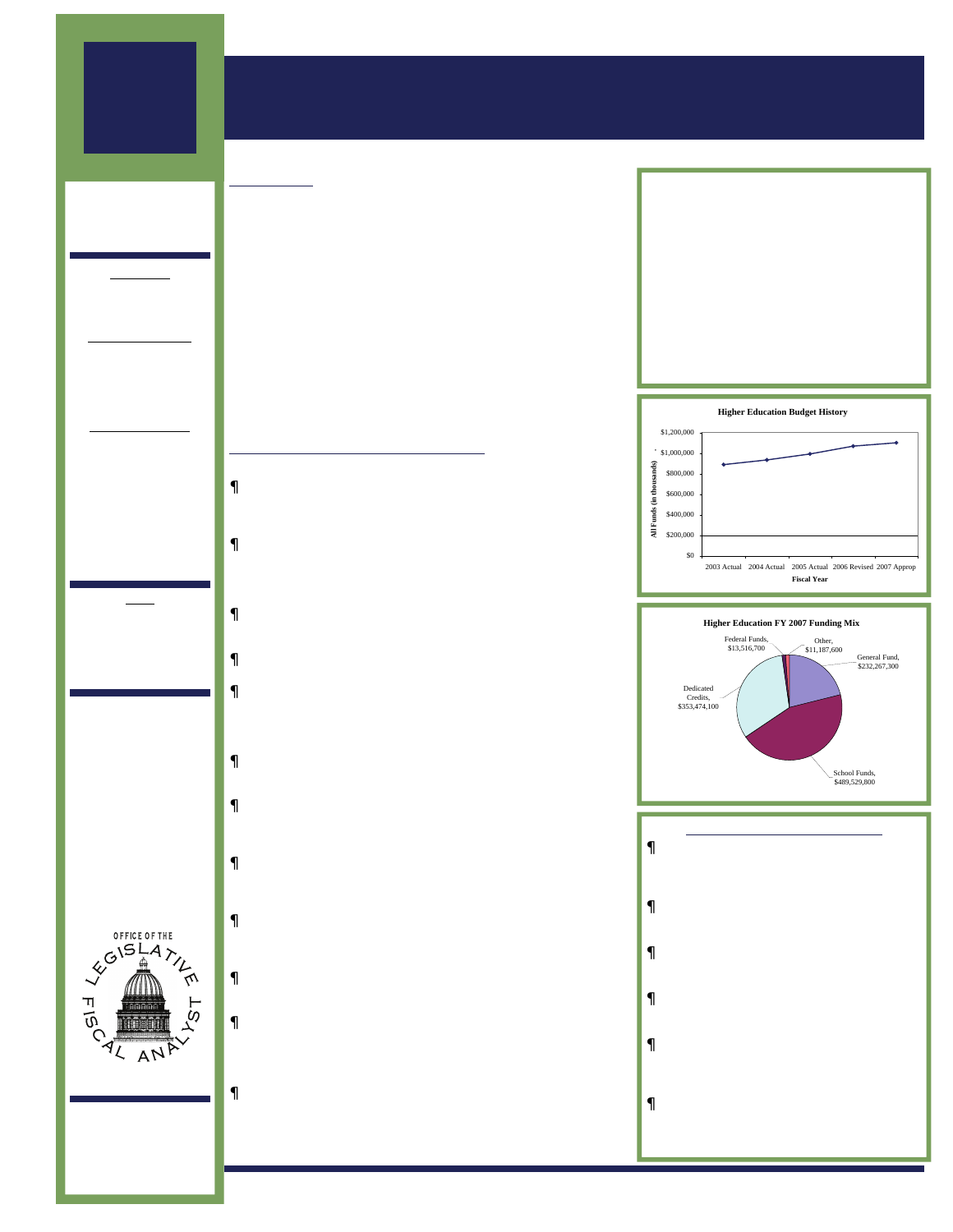## 2006 GENERAL **SESSION**

# **MEMBERS**

OF THE JOINT APPROPRIATIONS **SUBCOMMITTEE** 

### Co-Chairs

Sen. Greg Bell Rep. Kory Holdaway

### Senate Members

Patrice Arent Dan Eastman Peter Knudson Carlene Walker

### House Members

Sheryl Allen David Clark Bradley Daw Margaret Dayton John Dougall Patricia Jones Susan Lawrence Carol Spackman Moss LaWanna Shurtliff Scott Wyatt

### **Staff**

Spencer Pratt, Fiscal Analyst

Jonathan Ball, Fiscal Analyst



W310 State Capitol Complex Salt Lake City, Utah 84114 ———————- 801-538-1034 801-538-1692 Fax

www.le.utah.gov

## Higher Education

## APPROPRIATION SUMMARY & BUDGET HIGHLIGHTS

### **SUMMARY**

The Utah System of Higher Education (USHE) provides academic, career, and technical education learning opportunities for students. USHE promotes research, as well as, economic, academic, cultural, and other social programs for the citizens of Utah. The USHE is comprised of ten institutions and is governed by the State Board of Regents.

The Utah Education Network (UEN), a partnership of Utah's public and higher education institutions, delivers distance learning educational services statewide. UEN operates two public television stations providing closed circuit two-way video services through EDNET, and connects state agencies to each other and the Internet with UtahLINK.

The Utah Medical Education Program (UMEP) works closely with the healthcare industry, colleges & universities, and medical education programs. The UMEP also evaluates current and future workforce needs.

### **MAJOR FUNDING INITIATIVES**

Legislative action provided the following increases:

- Operation and Maintenance \$4,193,700 (\$3,800,500 USHE/ \$393,200 UCAT) funds for new buildings at five USHE campuses and one UCAT campus. These new facilities were approved in the 2004, 2005, or the 2006 General Sessions.
- Utility Rate Increase Because of increased utility costs, \$5,000,000 in both FY06 Supplemental funding and FY 07 funding for USHE institutions was approved. Three of the UCAT campuses will also receive \$76,000 for increased utility costs in FY 07.
- Engineering and Computer Science Initiative \$1,200,000 (\$700,000 one-time) to increase the number of students who graduate with an engineering or computer science degree.
- Nursing Initiative \$750,000 (\$500,000 one-time) to help alleviate the nursing shortage.
- Student Financial Aid \$200,000 in FY 06 Supplemental funding for New Century Scholarships, \$210,300 for the match to receive federal aid, \$289,700 for New Century Scholarships, and \$2,250,000 (one-time) for Utah Centennial Opportunity Program for Education (UCOPE) need-based financial aid.
- Jobs Now Initiative \$500,000 one-time funding to provide short-term training for businesses that have current job openings.
- Information Technology \$900,000 for licensing and security software to serve the entire system, plus \$500,000 one-time funding for IT infrastructure equipment replacements at the institutions.
- Prison Education a funding mechanism of surcharges collected from telephone calls made by inmates is expected to generate \$1 million in FY 2007. This funding is designated to support prison education.
- Utah Science, Technology and Research (USTAR) SB 75 moves funding of \$4 million from the University of Utah and Utah State University to a newly created governing authority, beginning in FY 07.
- UCAT Central Administration the one-time funding that the UCAT administration has been operating on was replaced, in part, by \$150,000 in ongoing funding in FY 07.
- UCAT Student Information System \$330,000 to support a new data system to account for the instructional functions and students in the UCAT system. The system was developed by UCAT and will be expanded to all UCAT campuses with ongoing support for the new system.
- UEN Network Infrastructure and IP Video \$1.3 million ongoing and \$1.5 million one-time were provided to continue improving computer networks for schools and universities. An additional \$1 million one-time will fund videoconferencing equipment to enhance distance education.

| FY05 Actual                    | \$991,420,900   |             |
|--------------------------------|-----------------|-------------|
| State Funds                    |                 | 651.569.600 |
| <b>FY06 Revised</b>            | \$1,067,809,600 |             |
| State Funds                    |                 | 696.193.600 |
| FY07 Appropriated              | \$1,099,975,500 |             |
| State Funds                    |                 | 721,797,100 |
|                                |                 |             |
| % Change FY05/06               |                 | 7.7         |
| State Fund Increase/(Decrease) |                 | 68          |
| % Change FY06/FY07             |                 | 3.0         |
| State Fund Increase/(Decrease) |                 | 3. 7        |





### OTHER FUNDED ITEMS

- UCAT Enrollment Growth an anticipated increase of nearly 500,000 UCAT membership hours was funded with \$1.75 million and \$363,400 tuition.
- **UCAT Leases three of the campuses will** receive funding for space leased to provide UCAT programs.
- Range Creek \$80,000 (\$30,000 one-time) was approved for further documentation of this historic area.
- · USU Mudslide \$200,000 one-time to help correct this problem at Utah State University.
- Facility Buy-outs \$1,487,000 one-time was provided to buy out the USU/Tooele lease (\$900,000) and Iron County's equity position in a SUU building (\$587,000).
- Telehealth SB 57 provides an ongoing funding stream to the Utah Tele-Health Network of \$500,000 at the University of Utah.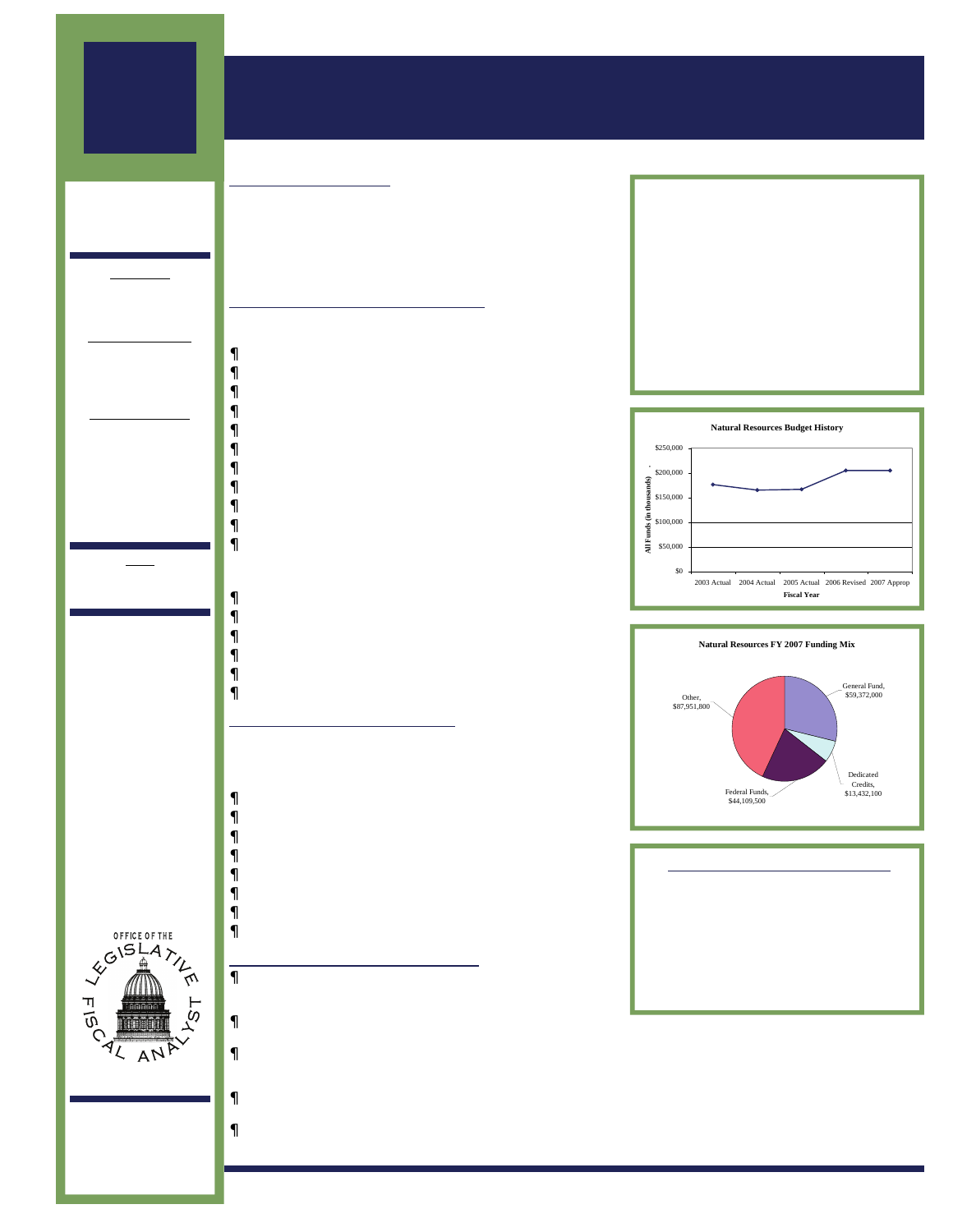## MARCH 8, 2006

## 2006 GENERAL **SESSION**

**MEMBERS** OF THE JOINT APPROPRIATIONS **SUBCOMMITTEE** 

### Co-Chairs

Sen. Tom Hatch Rep. Bradley Johnson

### Senate Members

Mike Dmitrich Beverly Evans Parley Hellewell

#### House Members

Carl Duckworth Ben Ferry Kerry Gibson James Gowans Rebecca Lockhart John Mathis Rhonda Menlove Michael Noel

## Natural Resources

## APPROPRIATION SUMMARY & BUDGET HIGHLIGHTS

### B UDGET S UMMARY

The Subcommittee oversees the budgets for the Department of Agriculture and Food, Department of Natural Resources, the School and Institutional Trust Lands Administration, Utah State Fair, and the Public Lands Policy Coordinating Office. Subcommittee's priorities were funded by internal reallocation of base budgets, as well as by obtaining additional General Fund revenues.

### **MAJOR FUNDING INITIATIVES**

The Legislature provided the following funding increases from the state General Funds:

- Fire Suppression \$4,000,000
- Parks Capital Facilities Improvements \$3,000,000
- DWR Benefits \$2,220,700
- This Is The Place Foundation \$2,000,000
- Watershed Initiative \$2,000,000
- Park Benefits \$510,600
- Rangeland & Invasive Species \$400,000
- Parks Trails \$250,000
- Rangeland & Invasive Species \$150,000
- Minerals Workload Expansion \$150,000
- Groundwater Studies \$122,000
- The non-General Fund increases appropriated by the Legislature were as follows:
- SITLA Capital Development \$5,800,000
- Parks Existing Operations- \$600,000
- Oil & Gas Biologist \$350,000
- SITLA Construction Manager \$165,200
- Oil & Gas Electronic Permitting System \$150,000
- Saltair Sewer Replacement \$110,000

### FUNDING REALLOCATIONS

The Legislature funded the following priorities through reallocating one-time General Funds from the Division of Forestry, Fire and State Lands, Utah Geological Survey, and Public Lands Office:

- Reseeding After Fires \$1,000,000
- Utah's Own Promotion \$400,000
- Water Distribution Automation \$355,000
- Conservation Districts Operation \$100,000
- Wildlife Depredation \$100,000
- Green River Golf Course Cart Path Improvement \$100,000
- Stream Gauges \$78,000
- OHV Right-Of-Way Purchases \$75,000

### BUDGET POLICY INITIATIVES

- Property Rights Ombudsman (SB 268) moves the Private Property Ombudsman's Office to the Department of Commerce.
- Water Reuse Requirements (HB38) addresses requirements for water reuse projects.
- Bear River Development Act (HB45) amends the Bear River Development Act allowing spending on preconstruction activities and making developed water available to Cache County.
- Lake Powell Pipeline Development Act (SB 27) authorizes the Board of Water Resources to build the Lake Powell Pipeline.
- Wildland Fire Suppression (SB 65) modifies a county's payment obligation for participating in the Wildland Fire Suppression Fund.

| <b>FYO5 Actual</b>             | \$166,619,200 |  |
|--------------------------------|---------------|--|
| State Funds                    | 47.927.600    |  |
| <b>FY06 Revised</b>            | \$204,913,500 |  |
| State Funds                    | 55,647,700    |  |
| FY07 Appropriated              | \$204,865,400 |  |
| State Funds                    | 59,372,000    |  |
|                                |               |  |
| % Change FY05/06               | 23.0          |  |
| State Fund Increase/(Decrease) | 16.1          |  |
| % Change FY06/FY07             | 0             |  |
| State Fund Increase/(Decrease) | 67            |  |





| FY 2007 BUDGET BY MAJOR AREA              |
|-------------------------------------------|
| \$158.364.700                             |
| $\sim$ $\sim$ $\sim$ $\sim$ $\sim$ $\sim$ |
|                                           |

| Agriculture                                     | \$26,227,800 |
|-------------------------------------------------|--------------|
| School & Institutional Trust Lands \$17,539,600 |              |
|                                                 |              |
| <b>Public Lands Office</b>                      | \$2,733,300  |

www.le.utah.gov NOTE: All figures represented in this summary are preliminary. Final appropriation figures, including gubernatorial vetoes, will be reflected in the 2006 - 2007 Appropriations Report.<br>the 2006 - 2007 Approp



W310 State Capitol Complex Salt Lake City, Utah 84114 ———————- 801-538-1034 801-538-1692 Fax

www.le.utah.gov

**Staff** Ivan Djambov, Fiscal Analyst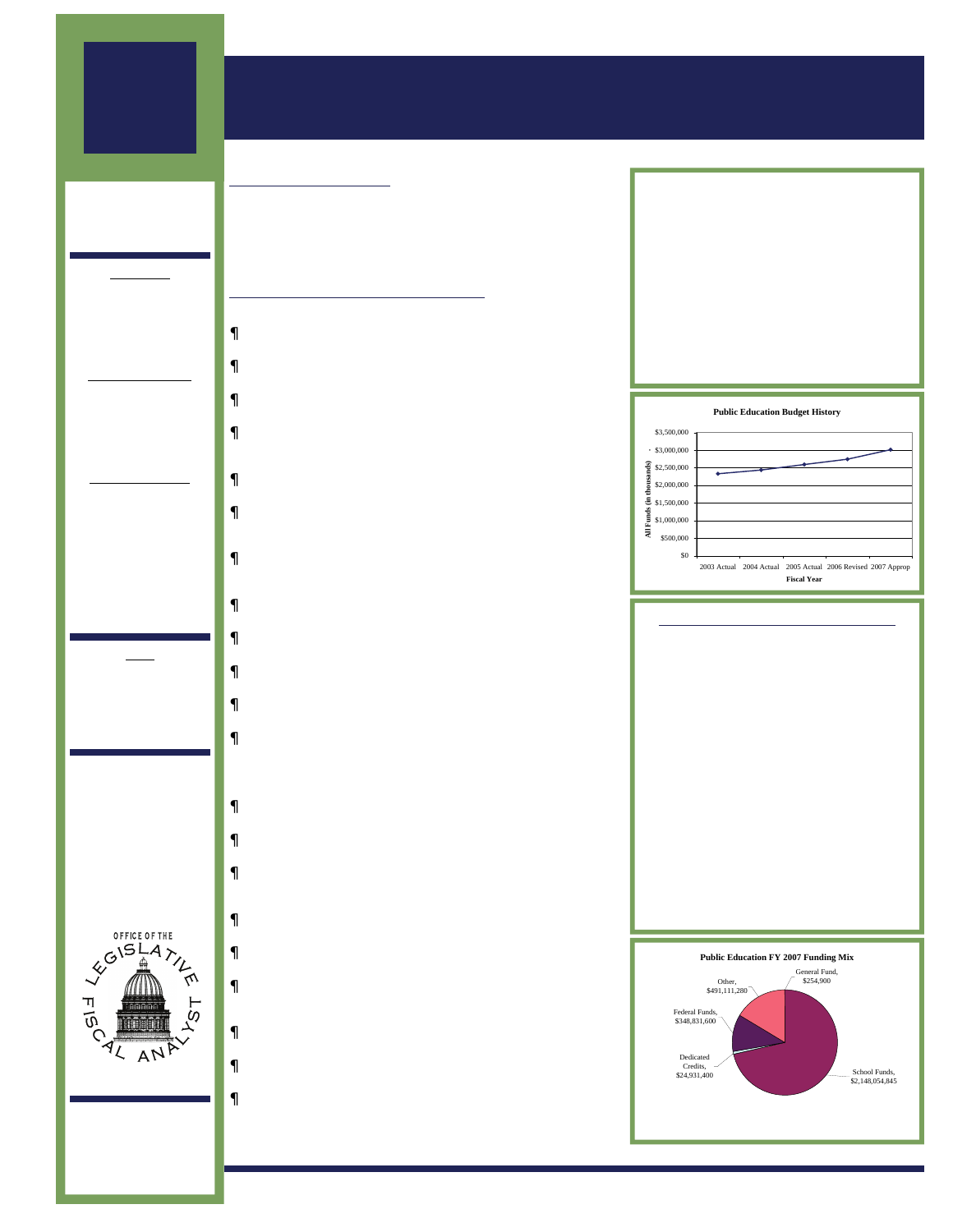## MARCH 8, 2006

## 2006 GENERAL **SESSION**

**MEMBERS** OF THE JOINT APPROPRIATIONS **SUBCOMMITTEE** 

### Co-Chairs

Senator Howard Stephenson

> Representative Gordon Snow

#### Senate Members

John Valentine, President

Beverly Evans Karen Hale

#### House Members

Stuart Adams Ron Bigelow Duane Bourdeaux Tim Cosgrove LaVar Christensen Gregory Hughes James Ferrin Julie Fisher Karen Morgan Stephen Urquhart

### **Staff**

Michael Kjar, Deputy Director

Ben Leishman, Fiscal Analyst



W310 State Capitol Complex Salt Lake City, Utah 84114 ———————- 801-538-1034 801-538-1692 Fax

www.le.utah.gov

## Public Education

### APPROPRIATION SUMMARY & BUDGET HIGHLIGHTS

### **BUDGET SUMMARY**

The public education budget represents the largest expenditure category in the state budget. Public education expenditures total over \$3 billion, representing 9.8% increase over the FY 2006 revised budget. Legislators appropriated a total of \$2.1 billion in state revenue to public education, representing a 12.8 percent increase over the FY 2006 revised budget.

### **MAJOR FUNDING INITIATIVES**

#### Minimum School Program

- Weighted Pupil Unit \$132.6 million to provide a 6% increase in the value of the WPU and other associated costs
- Enrollment Growth \$61.5 million to fund an additional 14,700 students anticipated for enrollment in fall 2006
- Adult Education \$1 million ongoing funding to replace onetime funded provided over the past several years
- ted & Board Leeway \$20.6 million in new state and local revenue including \$9.6 million in state revenue to provide for a rate increases
- Electronic High School \$300,000 to provide for additional student growth in the Electronic High School
- Charter Schools \$8.9 million to provide for increased costs associated with student growth to the Local Replacement Funding Formula
- Charter Schools \$11.4 million in one-time funding to support charter school start-up costs, administration, and student support
- Library Books & Supplies \$2 million in one-time funding for school districts to improve library collections
- Teacher Supplies & Materials \$7 million in one-time funding to help teachers with out-of-pocket instructional expenses
- Concurrent Enrollment \$2.3 million to support increased student involvement in concurrent enrollment programs
- Pupil Transportation \$5 million in one-time funding to support increased costs associated with transporting students
- Enrollment Growth Program \$10 million in one-time funding to support capital expenditures in school districts experiencing significant student growth

#### Education Agencies

- Independent Living Centers \$350,000 to provide Nursing Home Diversion specialists at each of the 6 IL centers
- Local Provider COLA \$32,500 to provide a 2.5% COLA increase for Independent Living Center employees
- Utah Schools for the Deaf and Blind \$441,000 ongoing and \$745,600 one-time to support the incorporation of the Jean Massieu Charter School within USDB operations
- Utah Schools for the Deaf and Blind \$406,900 to provide for statutory teacher salary increases, steps and lanes
- Utah State Office of Rehabilitation \$500,000 in one-time funding to support Assistive Technology services
- Utah State Office of Education \$234,000 in one-time revenue to support Alternative Route to Licensure for one year pending a review of regulatory fees for educator licensing
- Fine Arts and Sciences \$1 million to bifurcate the Fine Arts outreach program the Science outreach program
- Highly Qualified Teachers \$500,000 one-time to support teachers become highly qualified as outlined in H.B. 285
- Education Reform \$15 million to support the 4-6 math program and Utah Basic Skills Competency Test student remediation outlined in H.B. 181.

| <b>FYO5 Actual</b>             | \$2,593,642,788 |      |
|--------------------------------|-----------------|------|
| State Funds                    | 1,815,334,711   |      |
| <b>FY06 Revised</b>            | \$2,744,660,877 |      |
| State Funds                    | 1,905,184,775   |      |
| FY07 Appropriated              | \$3,013,184,025 |      |
| State Funds                    | 2.148.309.745   |      |
|                                |                 |      |
| % Change FY05/06               |                 | 5.8  |
| State Fund Increase/(Decrease) |                 | 49   |
| % Change FY06/FY07             |                 | 9.8  |
| State Fund Increase/(Decrease) |                 | 12.8 |



### FY 2007 BUDGET BY MAJOR AREA

Minimum School Program \$2,503,224,225

| Office of Education                         | \$250,736,400 |
|---------------------------------------------|---------------|
| Office of Rehabilitation                    | \$57,528,100  |
| Schools for the Deaf and Blind \$26,511,100 |               |
| <b>USDB Institutional Council</b>           | \$427,500     |
| State Charter School Board                  | \$11,019,800  |
| Child Nutrition Programs                    | \$118,614,200 |
| Fine Arts Outreach                          | \$2,639,600   |
| Science Outreach                            | \$1,339,400   |
| <b>Education Contracts</b>                  | \$3,854,800   |